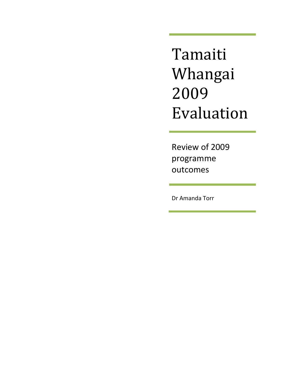Tamaiti Whangai 2009 Evaluation

Review of 2009 programme outcomes

Dr Amanda Torr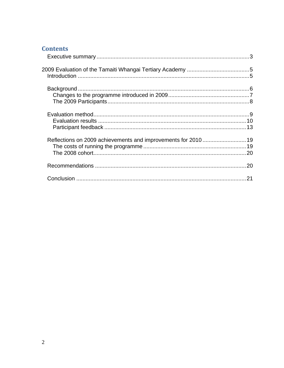# **Contents**

| Reflections on 2009 achievements and improvements for 2010  19 |  |
|----------------------------------------------------------------|--|
|                                                                |  |
|                                                                |  |
|                                                                |  |
|                                                                |  |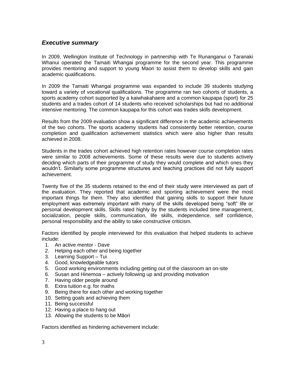# <span id="page-2-0"></span>*Executive summary*

In 2009, Wellington Institute of Technology in partnership with Te Runanganui o Taranaki Whanui operated the Tamaiti Whangai programme for the second year. This programme provides mentoring and support to young Maori to assist them to develop skills and gain academic qualifications.

In 2009 the Tamaiti Whangai programme was expanded to include 39 students studying toward a variety of vocational qualifications. The programme ran two cohorts of students, a sports academy cohort supported by a kaiwhakahaere and a common kaupapa (sport) for 25 students and a trades cohort of 14 students who received scholarships but had no additional intensive mentoring. The common kaupapa for this cohort was trades skills development.

Results from the 2009 evaluation show a significant difference in the academic achievements of the two cohorts. The sports academy students had consistently better retention, course completion and qualification achievement statistics which were also higher than results achieved in 2008.

Students in the trades cohort achieved high retention rates however course completion rates were similar to 2008 achievements. Some of these results were due to students actively deciding which parts of their programme of study they would complete and which ones they wouldn't. Similarly some programme structures and teaching practices did not fully support achievement.

Twenty five of the 35 students retained to the end of their study were interviewed as part of the evaluation. They reported that academic and sporting achievement were the most important things for them. They also identified that gaining skills to support their future employment was extremely important with many of the skills developed being "soft" life or personal development skills. Skills rated highly by the students included time management, socialization, people skills, communication, life skills, independence, self confidence, personal responsibility and the ability to take constructive criticism.

Factors identified by people interviewed for this evaluation that helped students to achieve include:

- 1. An active mentor Dave
- 2. Helping each other and being together
- 3. Learning Support Tui
- 4. Good, knowledgeable tutors
- 5. Good working environments including getting out of the classroom an on-site
- 6. Susan and Hinemoa actively following up and providing motivation
- 7. Having older people around
- 8. Extra tuition e.g. for maths
- 9. Being there for each other and working together
- 10. Setting goals and achieving them
- 11. Being successful
- 12. Having a place to hang out
- 13. Allowing the students to be Māori

Factors identified as hindering achievement include: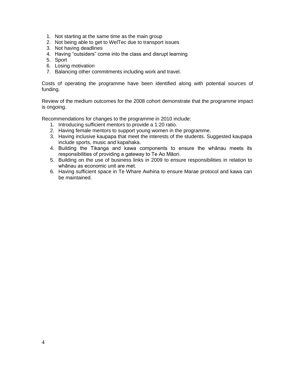- 1. Not starting at the same time as the main group
- 2. Not being able to get to WelTec due to transport issues
- 3. Not having deadlines
- 4. Having "outsiders" come into the class and disrupt learning
- 5. Sport
- 6. Losing motivation
- 7. Balancing other commitments including work and travel.

Costs of operating the programme have been identified along with potential sources of funding.

Review of the medium outcomes for the 2008 cohort demonstrate that the programme impact is ongoing.

Recommendations for changes to the programme in 2010 include:

- 1. Introducing sufficient mentors to provide a 1:20 ratio.
- 2. Having female mentors to support young women in the programme.
- 3. Having inclusive kaupapa that meet the interests of the students. Suggested kaupapa include sports, music and kapahaka.
- 4. Building the Tikanga and kawa components to ensure the whānau meets its responsibilities of providing a gateway to Te Ao Māori.
- 5. Building on the use of business links in 2009 to ensure responsibilities in relation to whānau as economic unit are met.
- 6. Having sufficient space in Te Whare Awhina to ensure Marae protocol and kawa can be maintained.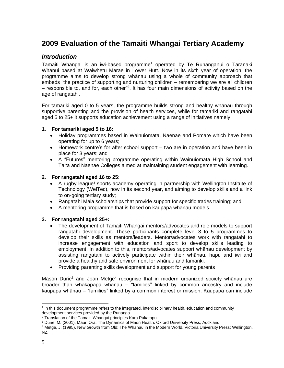# <span id="page-4-0"></span>**2009 Evaluation of the Tamaiti Whangai Tertiary Academy**

# <span id="page-4-1"></span>*Introduction*

Tamaiti Whangai is an iwi-based programme<sup>1</sup> operated by Te Runanganui o Taranaki Whanui based at Waiwhetu Marae in Lower Hutt. Now in its sixth year of operation, the programme aims to develop strong whānau using a whole of community approach that embeds "the practice of supporting and nurturing children – remembering we are all children – responsible to, and for, each other<sup>"2</sup>. It has four main dimensions of activity based on the age of rangatahi.

For tamariki aged 0 to 5 years, the programme builds strong and healthy whānau through supportive parenting and the provision of health services, while for tamariki and rangatahi aged 5 to 25+ it supports education achievement using a range of initiatives namely:

### **1. For tamariki aged 5 to 16:**

- Holiday programmes based in Wainuiomata, Naenae and Pomare which have been operating for up to 6 years;
- Homework centre's for after school support two are in operation and have been in place for 3 years; and
- A "Futures" mentoring programme operating within Wainuiomata High School and Taita and Naenae Colleges aimed at maintaining student engagement with learning.

### **2. For rangatahi aged 16 to 25:**

- A rugby league/ sports academy operating in partnership with Wellington Institute of Technology (WelTec), now in its second year, and aiming to develop skills and a link to on-going tertiary study;
- Rangatahi Maia scholarships that provide support for specific trades training; and
- A mentoring programme that is based on kaupapa whānau models.

# **3. For rangatahi aged 25+:**

- The development of Tamaiti Whangai mentors/advocates and role models to support rangatahi development. These participants complete level 3 to 5 programmes to develop their skills as mentors/leaders. Mentor/advocates work with rangatahi to increase engagement with education and sport to develop skills leading to employment. In addition to this, mentors/advocates support whānau development by assisting rangatahi to actively participate within their whānau, hapu and iwi and provide a healthy and safe environment for whānau and tamariki.
- Providing parenting skills development and support for young parents

Mason Durie<sup>3</sup> and Joan Metge<sup>4</sup> recognise that in modern urbanized society whānau are broader than whakapapa whānau – "families" linked by common ancestry and include kaupapa whānau – "families" linked by a common interest or mission. Kaupapa can include

<sup>&</sup>lt;sup>1</sup> In this document programme refers to the integrated, interdisciplinary health, education and community development services provided by the Runanga

<sup>2</sup> Translation of the Tamaiti Whangai principles Kara Pukatapu

<sup>3</sup> Durie, M. (2001). Mauri Ora: The Dynamics of Maori Health. Oxford University Press; Auckland.

<sup>4</sup> Metge, J. (1995). New Growth from Old: The Whānau in the Modern World. Victoria University Press; Wellington, NZ.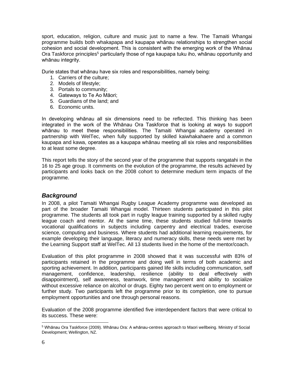sport, education, religion, culture and music just to name a few. The Tamaiti Whangai programme builds both whakapapa and kaupapa whānau relationships to strengthen social cohesion and social development. This is consistent with the emerging work of the Whānau Ora Taskforce principles<sup>5</sup> particularly those of nga kaupapa tuku iho, whānau opportunity and whānau integrity.

Durie states that whānau have six roles and responsibilities, namely being:

- 1. Carriers of the culture;
- 2. Models of lifestyle;
- 3. Portals to community;
- 4. Gateways to Te Ao Māori;
- 5. Guardians of the land; and
- 6. Economic units.

In developing whānau all six dimensions need to be reflected. This thinking has been integrated in the work of the Whānau Ora Taskforce that is looking at ways to support whānau to meet these responsibilities. The Tamaiti Whangai academy operated in partnership with WelTec, when fully supported by skilled kaiwhakahaere and a common kaupapa and kawa, operates as a kaupapa whānau meeting all six roles and responsibilities to at least some degree.

This report tells the story of the second year of the programme that supports rangatahi in the 16 to 25 age group. It comments on the evolution of the programme, the results achieved by participants and looks back on the 2008 cohort to determine medium term impacts of the programme.

# <span id="page-5-0"></span>*Background*

In 2008, a pilot Tamaiti Whangai Rugby League Academy programme was developed as part of the broader Tamaiti Whangai model. Thirteen students participated in this pilot programme. The students all took part in rugby league training supported by a skilled rugby league coach and mentor. At the same time, these students studied full-time towards vocational qualifications in subjects including carpentry and electrical trades, exercise science, computing and business. Where students had additional learning requirements, for example developing their language, literacy and numeracy skills, these needs were met by the Learning Support staff at WelTec. All 13 students lived in the home of the mentor/coach.

Evaluation of this pilot programme in 2008 showed that it was successful with 83% of participants retained in the programme and doing well in terms of both academic and sporting achievement. In addition, participants gained life skills including communication, self management, confidence, leadership, resilience (ability to deal effectively with disappointment), self awareness, teamwork, time management and ability to socialize without excessive reliance on alcohol or drugs. Eighty two percent went on to employment or further study. Two participants left the programme prior to its completion, one to pursue employment opportunities and one through personal reasons.

Evaluation of the 2008 programme identified five interdependent factors that were critical to its success. These were:

<sup>5</sup> Whānau Ora Taskforce (2009). Whānau Ora: A whānau-centres approach to Maori wellbeing. Ministry of Social Development; Wellington, NZ.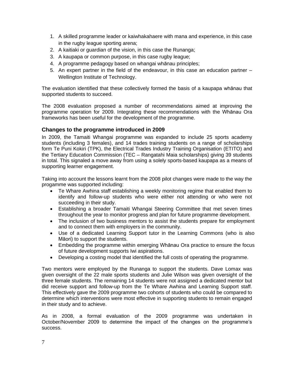- 1. A skilled programme leader or kaiwhakahaere with mana and experience, in this case in the rugby league sporting arena;
- 2. A kaitiaki or guardian of the vision, in this case the Runanga;
- 3. A kaupapa or common purpose, in this case rugby league;
- 4. A programme pedagogy based on whangai whānau principles;
- 5. An expert partner in the field of the endeavour, in this case an education partner Wellington Institute of Technology.

The evaluation identified that these collectively formed the basis of a kaupapa whānau that supported students to succeed.

The 2008 evaluation proposed a number of recommendations aimed at improving the programme operation for 2009. Integrating these recommendations with the Whānau Ora frameworks has been useful for the development of the programme.

### <span id="page-6-0"></span>**Changes to the programme introduced in 2009**

In 2009, the Tamaiti Whangai programme was expanded to include 25 sports academy students (including 3 females), and 14 trades training students on a range of scholarships form Te Puni Kokiri (TPK), the Electrical Trades Industry Training Organisation (ETITO) and the Tertiary Education Commission (TEC – Rangatahi Maia scholarships) giving 39 students in total. This signaled a move away from using a solely sports-based kaupapa as a means of supporting learner engagement.

Taking into account the lessons learnt from the 2008 pilot changes were made to the way the progamme was supported including:

- Te Whare Awhina staff establishing a weekly monitoring regime that enabled them to identify and follow-up students who were either not attending or who were not succeeding in their study.
- Establishing a broader Tamaiti Whangai Steering Committee that met seven times throughout the year to monitor progress and plan for future programme development.
- The inclusion of two business mentors to assist the students prepare for employment and to connect them with employers in the community.
- Use of a dedicated Learning Support tutor in the Learning Commons (who is also Māori) to support the students.
- Embedding the programme within emerging Whānau Ora practice to ensure the focus of future development supports Iwi aspirations.
- Developing a costing model that identified the full costs of operating the programme.

Two mentors were employed by the Runanga to support the students. Dave Lomax was given oversight of the 22 male sports students and Julie Wilson was given oversight of the three female students. The remaining 14 students were not assigned a dedicated mentor but did receive support and follow-up from the Te Whare Awhina and Learning Support staff. This effectively gave the 2009 programme two cohorts of students who could be compared to determine which interventions were most effective in supporting students to remain engaged in their study and to achieve.

As in 2008, a formal evaluation of the 2009 programme was undertaken in October/November 2009 to determine the impact of the changes on the programme's success.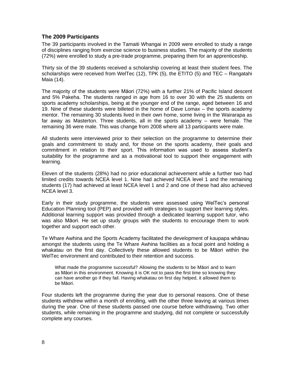## <span id="page-7-0"></span>**The 2009 Participants**

The 39 participants involved in the Tamaiti Whangai in 2009 were enrolled to study a range of disciplines ranging from exercise science to business studies. The majority of the students (72%) were enrolled to study a pre-trade programme, preparing them for an apprenticeship.

Thirty six of the 39 students received a scholarship covering at least their student fees. The scholarships were received from WelTec (12), TPK (5), the ETITO (5) and TEC – Rangatahi Maia (14).

The majority of the students were Māori (72%) with a further 21% of Pacific Island descent and 5% Pakeha. The students ranged in age from 16 to over 30 with the 25 students on sports academy scholarships, being at the younger end of the range, aged between 16 and 19. Nine of these students were billeted in the home of Dave Lomax – the sports academy mentor. The remaining 30 students lived in their own home, some living in the Wairarapa as far away as Masterton. Three students, all in the sports academy – were female. The remaining 36 were male. This was change from 2008 where all 13 participants were male.

All students were interviewed prior to their selection on the programme to determine their goals and commitment to study and, for those on the sports academy, their goals and commitment in relation to their sport. This information was used to assess student's suitability for the programme and as a motivational tool to support their engagement with learning.

Eleven of the students (28%) had no prior educational achievement while a further two had limited credits towards NCEA level 1. Nine had achieved NCEA level 1 and the remaining students (17) had achieved at least NCEA level 1 and 2 and one of these had also achieved NCEA level 3.

Early in their study programme, the students were assessed using WelTec's personal Education Planning tool (PEP) and provided with strategies to support their learning styles. Additional learning support was provided through a dedicated learning support tutor, who was also Māori. He set up study groups with the students to encourage them to work together and support each other.

Te Whare Awhina and the Sports Academy facilitated the development of kaupapa whānau amongst the students using the Te Whare Awhina facilities as a focal point and holding a whakatau on the first day. Collectively these allowed students to be Māori within the WelTec environment and contributed to their retention and success.

What made the programme successful? Allowing the students to be Māori and to learn as Māori in this environment. Knowing it is OK not to pass the first time so knowing they can have another go if they fail. Having whakatau on first day helped, it allowed them to be Māori.

Four students left the programme during the year due to personal reasons. One of these students withdrew within a month of enrolling, with the other three leaving at various times during the year. One of these students passed one course before withdrawing. Two other students, while remaining in the programme and studying, did not complete or successfully complete any courses.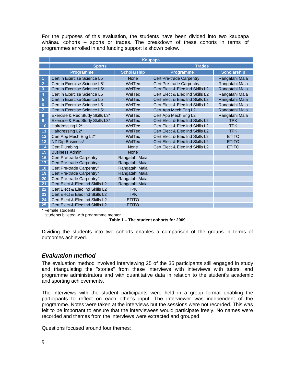For the purposes of this evaluation, the students have been divided into two kaupapa whānau cohorts – sports or trades. The breakdown of these cohorts in terms of programmes enrolled in and funding support is shown below.

|                         | <b>Kaupapa</b>                           |                    |                                 |                    |  |  |  |  |
|-------------------------|------------------------------------------|--------------------|---------------------------------|--------------------|--|--|--|--|
|                         | <b>Sports</b>                            |                    | <b>Trades</b>                   |                    |  |  |  |  |
|                         | <b>Programme</b>                         | <b>Scholarship</b> | <b>Programme</b>                | <b>Scholarship</b> |  |  |  |  |
|                         | Cert in Exercise Science L5              | <b>None</b>        | Cert Pre-trade Carpentry        | Rangatahi Maia     |  |  |  |  |
| $\overline{2}$          | Cert in Exercise Science L5 <sup>+</sup> | WelTec             | Cert Pre-trade Carpentry        | Rangatahi Maia     |  |  |  |  |
| 3                       | Cert in Exercise Science L5*             | WelTec             | Cert Elect & Elec Ind Skills L2 | Rangatahi Maia     |  |  |  |  |
| 4                       | Cert in Exercise Science L5              | WelTec             | Cert Elect & Elec Ind Skills L2 | Rangatahi Maia     |  |  |  |  |
| $\overline{\mathbf{5}}$ | Cert in Exercise Science L5              | WelTec             | Cert Elect & Elec Ind Skills L2 | Rangatahi Maia     |  |  |  |  |
| $6\phantom{1}6$         | Cert in Exercise Science L5              | WelTec             | Cert Elect & Elec Ind Skills L2 | Rangatahi Maia     |  |  |  |  |
| $\overline{7}$          | Cert in Exercise Science L5 <sup>+</sup> | WelTec             | Cert App Mech Eng L2            | Rangatahi Maia     |  |  |  |  |
| 8                       | Exercise & Rec Study Skills L3+          | WelTec             | Cert App Mech Eng L2            | Rangatahi Maia     |  |  |  |  |
| $\overline{9}$          | Exercise & Rec Study Skills L3+          | WelTec             | Cert Elect & Elec Ind Skills L2 | <b>TPK</b>         |  |  |  |  |
| 10                      | Hairdressing L2*                         | WelTec             | Cert Elect & Elec Ind Skills L2 | <b>TPK</b>         |  |  |  |  |
| 11                      | Hairdressing L2*                         | WelTec             | Cert Elect & Elec Ind Skills L2 | <b>TPK</b>         |  |  |  |  |
| 12                      | Cert App Mech Eng L2+                    | WelTec             | Cert Elect & Elec Ind Skills L2 | <b>ETITO</b>       |  |  |  |  |
| 13                      | NZ Dip Business <sup>+</sup>             | WelTec             | Cert Elect & Elec Ind Skills L2 | <b>ETITO</b>       |  |  |  |  |
| 14                      | <b>Cert Plumbing</b>                     | None               | Cert Elect & Elec Ind Skills L2 | <b>ETITO</b>       |  |  |  |  |
| 15                      | <b>Business Admin</b>                    | <b>None</b>        |                                 |                    |  |  |  |  |
| 16                      | Cert Pre-trade Carpentry                 | Rangatahi Maia     |                                 |                    |  |  |  |  |
| 17                      | <b>Cert Pre-trade Carpentry</b>          | Rangatahi Maia     |                                 |                    |  |  |  |  |
| 18                      | Cert Pre-trade Carpentry <sup>+</sup>    | Rangatahi Maia     |                                 |                    |  |  |  |  |
| 19                      | Cert Pre-trade Carpentry+                | Rangatahi Maia     |                                 |                    |  |  |  |  |
| 20                      | Cert Pre-trade Carpentry+                | Rangatahi Maia     |                                 |                    |  |  |  |  |
| 21                      | Cert Elect & Elec Ind Skills L2          | Rangatahi Maia     |                                 |                    |  |  |  |  |
| 22                      | Cert Elect & Elec Ind Skills L2          | <b>TPK</b>         |                                 |                    |  |  |  |  |
| 23                      | Cert Elect & Elec Ind Skills L2          | <b>TPK</b>         |                                 |                    |  |  |  |  |
| 24                      | Cert Elect & Elec Ind Skills L2          | <b>ETITO</b>       |                                 |                    |  |  |  |  |
| 25                      | Cert Elect & Elec Ind Skills L2          | <b>ETITO</b>       |                                 |                    |  |  |  |  |

\* Female students

+ students billeted with programme mentor

#### **Table 1 – The student cohorts for 2009**

Dividing the students into two cohorts enables a comparison of the groups in terms of outcomes achieved.

### <span id="page-8-0"></span>*Evaluation method*

The evaluation method involved interviewing 25 of the 35 participants still engaged in study and triangulating the "stories" from these interviews with interviews with tutors, and programme administrators and with quantitative data in relation to the student's academic and sporting achievements.

The interviews with the student participants were held in a group format enabling the participants to reflect on each other's input. The interviewer was independent of the programme. Notes were taken at the interviews but the sessions were not recorded. This was felt to be important to ensure that the interviewees would participate freely. No names were recorded and themes from the interviews were extracted and grouped

Questions focused around four themes: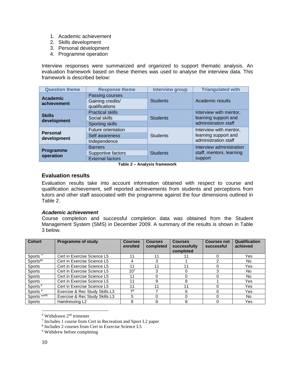- 1. Academic achievement
- 2. Skills development
- 3. Personal development
- 4. Programme operation

Interview responses were summarized and organized to support thematic analysis. An evaluation framework based on these themes was used to analyse the interview data. This framework is described below:

| <b>Question theme</b>          | <b>Response theme</b>                                            | <b>Interview group</b> | <b>Triangulated with</b>                                               |  |
|--------------------------------|------------------------------------------------------------------|------------------------|------------------------------------------------------------------------|--|
| <b>Academic</b><br>achievement | Passing courses<br>Gaining credits/<br>qualifications            | <b>Students</b>        | Academic results                                                       |  |
| <b>Skills</b><br>development   | <b>Practical skills</b><br>Social skills<br>Sporting skills      | <b>Students</b>        | Interview with mentor,<br>learning support and<br>administration staff |  |
| <b>Personal</b><br>development | Future orientation<br>Self awareness<br>Independence             | <b>Students</b>        | Interview with mentor,<br>learning support and<br>administration staff |  |
| <b>Programme</b><br>operation  | <b>Barriers</b><br>Supportive factors<br><b>External factors</b> | <b>Students</b>        | Interview administration<br>staff, mentors, learning<br>support        |  |

**Table 2 – Analysis framework**

### <span id="page-9-0"></span>**Evaluation results**

Evaluation results take into account information obtained with respect to course and qualification achievement, self reported achievements from students and perceptions from tutors and other staff associated with the programme against the four dimensions outlined in Table 2.

#### *Academic achievement*

Course completion and successful completion data was obtained from the Student Management System (SMS) in December 2009. A summary of the results is shown in Table 3 below.

| <b>Cohort</b>        | <b>Programme of study</b>      | <b>Courses</b><br>enrolled | <b>Courses</b><br>completed | <b>Courses</b><br>successfully<br>completed | <b>Courses not</b><br>successful | Qualification<br>achieved |
|----------------------|--------------------------------|----------------------------|-----------------------------|---------------------------------------------|----------------------------------|---------------------------|
| Sports <sup>**</sup> | Cert in Exercise Science L5    | 11                         |                             | 11                                          |                                  | Yes                       |
| Sports <sup>6#</sup> | Cert in Exercise Science L5    | 4                          |                             |                                             |                                  | No.                       |
| Sports               | Cert in Exercise Science L5    | 11                         |                             | 11                                          |                                  | Yes                       |
| <b>Sports</b>        | Cert in Exercise Science L5    | 10 <sup>7</sup>            | 3                           |                                             | 3                                | No.                       |
| <b>Sports</b>        | Cert in Exercise Science L5    | 11                         |                             |                                             |                                  | No                        |
| Sports               | Cert in Exercise Science L5    | 11                         | 9                           | 8                                           |                                  | Yes                       |
| Sports <sup>#</sup>  | Cert in Exercise Science L5    | 11                         | 11                          | 11                                          |                                  | Yes                       |
| Sports $#$           | Exercise & Rec Study Skills L3 | 78                         |                             | 6                                           |                                  | Yes                       |
| Sports ****9         | Exercise & Rec Study Skills L3 | 5                          | 0                           |                                             | 0                                | No.                       |
| <b>Sports</b>        | Hairdressing L2                | 8                          | 8                           | 8                                           | 0                                | Yes                       |

 $6$  Withdrawn  $2<sup>nd</sup>$  trimester

<sup>7</sup> Includes 1 course from Cert in Recreation and Sport L2 paper

<sup>8</sup> Includes 2 courses from Cert in Exercise Science L5

<sup>9</sup> Withdrew before completing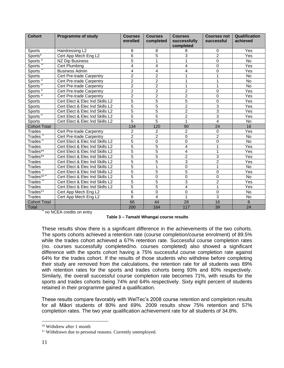| <b>Cohort</b>          | <b>Programme of study</b>       | <b>Courses</b><br>enrolled | <b>Courses</b><br>completed | <b>Courses</b><br>successfully<br>completed | <b>Courses not</b><br>successful | Qualification<br>achieved |
|------------------------|---------------------------------|----------------------------|-----------------------------|---------------------------------------------|----------------------------------|---------------------------|
| Sports                 | Hairdressing L2                 | 8                          | 8                           | 8                                           | 0                                | Yes                       |
| Sports $\overline{A}$  | Cert App Mech Eng L2            | $\overline{6}$             | $\overline{5}$              | 3                                           | $\overline{2}$                   | Yes                       |
| Sports $#$             | <b>NZ Dip Business</b>          | $\overline{5}$             | 1                           | 1                                           | 0                                | No                        |
| Sports**               | Cert Plumbing                   | 4                          | 4                           | $\overline{4}$                              | 0                                | Yes                       |
| Sports <sup>**</sup>   | <b>Business Admin</b>           | 4                          | $\overline{\mathbf{4}}$     | 4                                           | 0                                | Yes                       |
| <b>Sports</b>          | Cert Pre-trade Carpentry        | $\overline{c}$             | $\overline{2}$              | 1                                           | 1                                | No                        |
| Sports $#$             | Cert Pre-trade Carpentry        | $\overline{2}$             | $\overline{2}$              | 1                                           | 1                                | No                        |
| Sports <sup>*</sup>    | Cert Pre-trade Carpentry        | $\overline{2}$             | $\overline{2}$              | $\mathbf{1}$                                | 1                                | <b>No</b>                 |
| Sports <sup>#</sup>    | Cert Pre-trade Carpentry        | $\overline{2}$             | $\overline{2}$              | $\overline{2}$                              | 0                                | Yes                       |
| Sports <sup>#</sup>    | Cert Pre-trade Carpentry        | $\overline{2}$             | $\overline{2}$              | $\overline{2}$                              | 0                                | Yes                       |
| <b>Sports</b>          | Cert Elect & Elec Ind Skills L2 | $\overline{5}$             | $\overline{5}$              | $\overline{5}$                              | 0                                | Yes                       |
| <b>Sports</b>          | Cert Elect & Elec Ind Skills L2 | $\overline{5}$             | $\overline{5}$              | $\overline{2}$                              | 3                                | Yes                       |
| <b>Sports</b>          | Cert Elect & Elec Ind Skills L2 | $\overline{5}$             | $\overline{5}$              | $\overline{2}$                              | $\overline{3}$                   | Yes                       |
| Sports**               | Cert Elect & Elec Ind Skills L2 | $\overline{5}$             | $\overline{5}$              | $\overline{2}$                              | $\overline{3}$                   | Yes                       |
| <b>Sports</b>          | Cert Elect & Elec Ind Skills L2 | $\overline{5}$             | $\overline{5}$              | $\overline{1}$                              | $\overline{4}$                   | No                        |
| <b>Cohort Total</b>    |                                 | 134                        | 120                         | 90                                          | 24                               | 16                        |
| <b>Trades</b>          | Cert Pre-trade Carpentry        | $\overline{c}$             | $\overline{2}$              | $\overline{c}$                              | 0                                | Yes                       |
| Trades**               | Cert Pre-trade Carpentry        | $\overline{2}$             | $\overline{2}$              | 0                                           | $\overline{2}$                   | <b>No</b>                 |
| Trades**               | Cert Elect & Elec Ind Skills L2 | $\overline{5}$             | 0                           | 0                                           | 0                                | <b>No</b>                 |
| Trades                 | Cert Elect & Elec Ind Skills L2 | $\overline{5}$             | $\overline{5}$              | 4                                           | 1                                | Yes                       |
| Trades**               | Cert Elect & Elec Ind Skills L2 | $\overline{5}$             | $\overline{5}$              | 4                                           | 1                                | Yes                       |
| Trades**               | Cert Elect & Elec Ind Skills L2 | $\overline{5}$             | $\overline{5}$              | $\overline{c}$                              | 3                                | Yes                       |
| Trades                 | Cert Elect & Elec Ind Skills L2 | $\overline{5}$             | $\overline{5}$              | 3                                           | $\overline{2}$                   | Yes                       |
| Trades                 | Cert Elect & Elec Ind Skills L2 | $\overline{5}$             | 1                           | $\overline{0}$                              | $\overline{1}$                   | <b>No</b>                 |
| Trades <sup>**</sup>   | Cert Elect & Elec Ind Skills L2 | $\overline{5}$             | $\overline{5}$              | $\overline{5}$                              | 0                                | Yes                       |
| Trades <sup>10**</sup> | Cert Elect & Elec Ind Skills L2 | $\overline{5}$             | 0                           | 0                                           | 0                                | <b>No</b>                 |
| Trades**               | Cert Elect & Elec Ind Skills L2 | $\overline{5}$             | $\overline{5}$              | $\overline{3}$                              | $\overline{2}$                   | Yes                       |
| <b>Trades</b>          | Cert Elect & Elec Ind Skills L2 | $\overline{5}$             | $\overline{5}$              | $\overline{4}$                              | $\mathbf 1$                      | Yes                       |
| Trades <sup>11</sup>   | Cert App Mech Eng L2            | $\overline{6}$             | $\overline{0}$              | 0                                           | $\overline{0}$                   | <b>No</b>                 |
| <b>Trades</b>          | Cert App Mech Eng L2            | 6                          | 4                           | $\overline{1}$                              | 3                                | <b>No</b>                 |
| <b>Cohort Total</b>    |                                 | 66                         | 44                          | 28                                          | 16                               | 8                         |
| <b>Total</b>           |                                 | 200                        | 164                         | 117                                         | 39                               | 24                        |

\*\* no NCEA credits on entry

These results show there is a significant difference in the achievements of the two cohorts. The sports cohorts achieved a retention rate (course completion/course enrolment) of 89.5% while the trades cohort achieved a 67% retention rate. Successful course completion rates (no. courses successfully completed/no. courses completed) also showed a significant difference with the sports cohort having a 75% successful course completion rate against 64% for the trades cohort. If the results of those students who withdrew before completing their study are removed from the calculations, the retention rate for all students was 89% with retention rates for the sports and trades cohorts being 93% and 80% respectively. Similarly, the overall successful course completion rate becomes 71%, with results for the sports and trades cohorts being 74% and 64% respectively. Sixty eight percent of students retained in their programme gained a qualification.

These results compare favorably with WelTec's 2008 course retention and completion results for all Māori students of 80% and 69%. 2009 results show 75% retention and 57% completion rates. The two year qualification achievement rate for all students of 34.8%.

<sup>&</sup>lt;sup>10</sup> Withdrew after 1 month

<sup>&</sup>lt;sup>11</sup> Withdrawn due to personal reasons. Currently unemployed.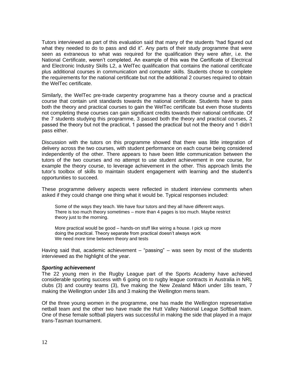Tutors interviewed as part of this evaluation said that many of the students "had figured out what they needed to do to pass and did it". Any parts of their study programme that were seen as extraneous to what was required for the qualification they were after, i.e. the National Certificate, weren't completed. An example of this was the Certificate of Electrical and Electronic Industry Skills L2, a WelTec qualification that contains the national certificate plus additional courses in communication and computer skills. Students chose to complete the requirements for the national certificate but not the additional 2 courses required to obtain the WelTec certificate.

Similarly, the WelTec pre-trade carpentry programme has a theory course and a practical course that contain unit standards towards the national certificate. Students have to pass both the theory and practical courses to gain the WelTec certificate but even those students not completing these courses can gain significant credits towards their national certificate. Of the 7 students studying this programme, 3 passed both the theory and practical courses, 2 passed the theory but not the practical, 1 passed the practical but not the theory and 1 didn't pass either.

Discussion with the tutors on this programme showed that there was little integration of delivery across the two courses, with student performance on each course being considered independently of the other. There appears to have been little communication between the tutors of the two courses and no attempt to use student achievement in one course, for example the theory course, to leverage achievement in the other. This approach limits the tutor's toolbox of skills to maintain student engagement with learning and the student's opportunities to succeed.

These programme delivery aspects were reflected in student interview comments when asked if they could change one thing what it would be. Typical responses included:

Some of the ways they teach. We have four tutors and they all have different ways. There is too much theory sometimes – more than 4 pages is too much. Maybe restrict theory just to the morning.

More practical would be good – hands-on stuff like wiring a house. I pick up more doing the practical. Theory separate from practical doesn't always work We need more time between theory and tests

Having said that, academic achievement – "passing" – was seen by most of the students interviewed as the highlight of the year.

#### *Sporting achievement*

The 22 young men in the Rugby League part of the Sports Academy have achieved considerable sporting success with 6 going on to rugby league contracts in Australia in NRL clubs (3) and country teams (3), five making the New Zealand Māori under 18s team, 7 making the Wellington under 18s and 3 making the Wellington mens team.

Of the three young women in the programme, one has made the Wellington representative netball team and the other two have made the Hutt Valley National League Softball team. One of these female softball players was successful in making the side that played in a major trans-Tasman tournament.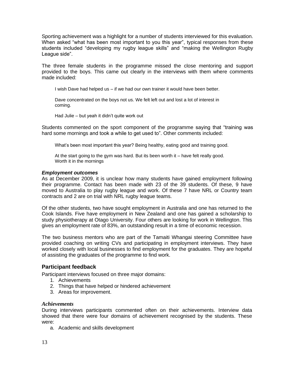Sporting achievement was a highlight for a number of students interviewed for this evaluation. When asked "what has been most important to you this year", typical responses from these students included "developing my rugby league skills" and "making the Wellington Rugby League side".

The three female students in the programme missed the close mentoring and support provided to the boys. This came out clearly in the interviews with them where comments made included:

I wish Dave had helped us – if we had our own trainer it would have been better.

Dave concentrated on the boys not us. We felt left out and lost a lot of interest in coming.

Had Julie – but yeah it didn't quite work out

Students commented on the sport component of the programme saying that "training was hard some mornings and took a while to get used to". Other comments included:

What's been most important this year? Being healthy, eating good and training good.

At the start going to the gym was hard. But its been worth it – have felt really good. Worth it in the mornings

### *Employment outcomes*

As at December 2009, it is unclear how many students have gained employment following their programme. Contact has been made with 23 of the 39 students. Of these, 9 have moved to Australia to play rugby league and work. Of these 7 have NRL or Country team contracts and 2 are on trial with NRL rugby league teams.

Of the other students, two have sought employment in Australia and one has returned to the Cook Islands. Five have employment in New Zealand and one has gained a scholarship to study physiotherapy at Otago University. Four others are looking for work in Wellington. This gives an employment rate of 83%, an outstanding result in a time of economic recession.

The two business mentors who are part of the Tamaiti Whangai steering Committee have provided coaching on writing CVs and participating in employment interviews. They have worked closely with local businesses to find employment for the graduates. They are hopeful of assisting the graduates of the programme to find work.

### <span id="page-12-0"></span>**Participant feedback**

Participant interviews focused on three major domains:

- 1. Achievements
- 2. Things that have helped or hindered achievement
- 3. Areas for improvement.

#### *Achievements*

During interviews participants commented often on their achievements. Interview data showed that there were four domains of achievement recognised by the students. These were:

a. Academic and skills development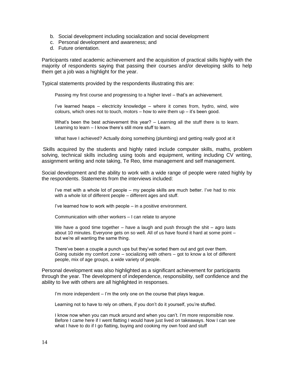- b. Social development including socialization and social development
- c. Personal development and awareness; and
- d. Future orientation.

Participants rated academic achievement and the acquisition of practical skills highly with the majority of respondents saying that passing their courses and/or developing skills to help them get a job was a highlight for the year.

Typical statements provided by the respondents illustrating this are:

Passing my first course and progressing to a higher level – that's an achievement.

I've learned heaps – electricity knowledge – where it comes from, hydro, wind, wire colours, which ones not to touch, motors  $-$  how to wire them up  $-$  it's been good.

What's been the best achievement this year? – Learning all the stuff there is to learn. Learning to learn – I know there's still more stuff to learn.

What have I achieved? Actually doing something (plumbing) and getting really good at it

Skills acquired by the students and highly rated include computer skills, maths, problem solving, technical skills including using tools and equipment, writing including CV writing, assignment writing and note taking, Te Reo, time management and self management.

Social development and the ability to work with a wide range of people were rated highly by the respondents. Statements from the interviews included:

I've met with a whole lot of people – my people skills are much better. I've had to mix with a whole lot of different people – different ages and stuff.

I've learned how to work with people – in a positive environment.

Communication with other workers – I can relate to anyone

We have a good time together – have a laugh and push through the shit – agro lasts about 10 minutes. Everyone gets on so well. All of us have found it hard at some point – but we're all wanting the same thing.

There've been a couple a punch ups but they've sorted them out and got over them. Going outside my comfort zone  $-$  socializing with others  $-$  got to know a lot of different people, mix of age groups, a wide variety of people.

Personal development was also highlighted as a significant achievement for participants through the year. The development of independence, responsibility, self confidence and the ability to live with others are all highlighted in responses.

I'm more independent - I'm the only one on the course that plays league.

Learning not to have to rely on others, if you don't do it yourself, you're stuffed.

I know now when you can muck around and when you can't. I'm more responsible now. Before I came here if I went flatting I would have just lived on takeaways. Now I can see what I have to do if I go flatting, buying and cooking my own food and stuff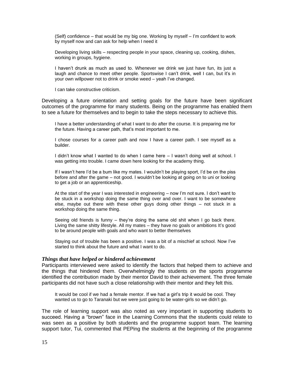(Self) confidence – that would be my big one. Working by myself – I'm confident to work by myself now and can ask for help when I need it

Developing living skills – respecting people in your space, cleaning up, cooking, dishes, working in groups, hygiene.

I haven't drunk as much as used to. Whenever we drink we just have fun, its just a laugh and chance to meet other people. Sportswise I can't drink, well I can, but it's in your own willpower not to drink or smoke weed – yeah I've changed.

I can take constructive criticism.

Developing a future orientation and setting goals for the future have been significant outcomes of the programme for many students. Being on the programme has enabled them to see a future for themselves and to begin to take the steps necessary to achieve this.

I have a better understanding of what I want to do after the course. It is preparing me for the future. Having a career path, that's most important to me.

I chose courses for a career path and now I have a career path. I see myself as a builder.

I didn't know what I wanted to do when I came here – I wasn't doing well at school. I was getting into trouble. I came down here looking for the academy thing.

If I wasn't here I'd be a bum like my mates. I wouldn't be playing sport, I'd be on the piss before and after the game – not good. I wouldn't be looking at going on to uni or looking to get a job or an apprenticeship.

At the start of the year I was interested in engineering – now I'm not sure. I don't want to be stuck in a workshop doing the same thing over and over. I want to be somewhere else, maybe out there with these other guys doing other things – not stuck in a workshop doing the same thing.

Seeing old friends is funny – they're doing the same old shit when I go back there. Living the same shitty lifestyle. All my mates – they have no goals or ambitions It's good to be around people with goals and who want to better themselves

Staying out of trouble has been a positive. I was a bit of a mischief at school. Now I've started to think about the future and what I want to do.

#### *Things that have helped or hindered achievement*

Participants interviewed were asked to identify the factors that helped them to achieve and the things that hindered them. Overwhelmingly the students on the sports programme identified the contribution made by their mentor David to their achievement. The three female participants did not have such a close relationship with their mentor and they felt this.

It would be cool if we had a female mentor. If we had a girl's trip it would be cool. They wanted us to go to Taranaki but we were just going to be water-girls so we didn't go.

The role of learning support was also noted as very important in supporting students to succeed. Having a "brown" face in the Learning Commons that the students could relate to was seen as a positive by both students and the programme support team. The learning support tutor, Tui, commented that PEPing the students at the beginning of the programme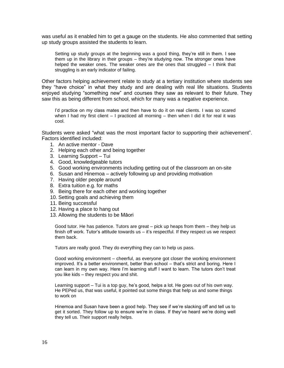was useful as it enabled him to get a gauge on the students. He also commented that setting up study groups assisted the students to learn.

Setting up study groups at the beginning was a good thing, they're still in them. I see them up in the library in their groups – they're studying now. The stronger ones have helped the weaker ones. The weaker ones are the ones that struggled – I think that struggling is an early indicator of failing.

Other factors helping achievement relate to study at a tertiary institution where students see they "have choice" in what they study and are dealing with real life situations. Students enjoyed studying "something new" and courses they saw as relevant to their future. They saw this as being different from school, which for many was a negative experience.

I'd practice on my class mates and then have to do it on real clients. I was so scared when I had my first client  $-1$  practiced all morning  $-$  then when I did it for real it was cool.

Students were asked "what was the most important factor to supporting their achievement". Factors identified included:

- 1. An active mentor Dave
- 2. Helping each other and being together
- 3. Learning Support Tui
- 4. Good, knowledgeable tutors
- 5. Good working environments including getting out of the classroom an on-site
- 6. Susan and Hinemoa actively following up and providing motivation
- 7. Having older people around
- 8. Extra tuition e.g. for maths
- 9. Being there for each other and working together
- 10. Setting goals and achieving them
- 11. Being successful
- 12. Having a place to hang out
- 13. Allowing the students to be Māori

Good tutor. He has patience. Tutors are great – pick up heaps from them – they help us finish off work. Tutor's attitude towards us – it's respectful. If they respect us we respect them back.

Tutors are really good. They do everything they can to help us pass.

Good working environment – cheerful, as everyone got closer the working environment improved. It's a better environment, better than school – that's strict and boring. Here I can learn in my own way. Here I'm learning stuff I want to learn. The tutors don't treat you like kids – they respect you and shit.

Learning support – Tui is a top guy, he's good, helps a lot. He goes out of his own way. He PEPed us, that was useful, it pointed out some things that help us and some things to work on

Hinemoa and Susan have been a good help. They see if we're slacking off and tell us to get it sorted. They follow up to ensure we're in class. If they've heard we're doing well they tell us. Their support really helps.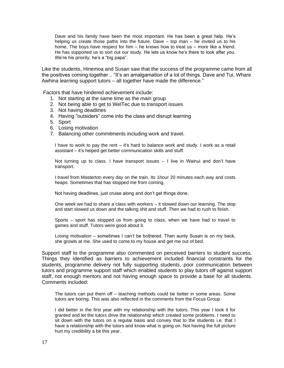Dave and his family have been the most important. He has been a great help. He's helping us create those paths into the future. Dave – top man – he invited us to his home. The boys have respect for him – he knows how to treat us – more like a friend. He has supported us to sort out our study. He lets us know he's there to look after you. We're his priority; he's a "big papa".

Like the students, Hinemoa and Susan saw that the success of the programme came from all the positives coming together .. "It's an amalgamation of a lot of things. Dave and Tui, Whare Awhina learning support tutors – all together have made the difference."

Factors that have hindered achievement include:

- 1. Not starting at the same time as the main group
- 2. Not being able to get to WelTec due to transport issues
- 3. Not having deadlines
- 4. Having "outsiders" come into the class and disrupt learning
- 5. Sport
- 6. Losing motivation
- 7. Balancing other commitments including work and travel.

I have to work to pay the rent – it's hard to balance work and study. I work as a retail assistant – it's helped get better communication skills and stuff.

Not turning up to class. I have transport issues – I live in Wainui and don't have transport.

I travel from Masterton every day on the train. Its 1hour 20 minutes each way and costs heaps. Sometimes that has stopped me from coming.

Not having deadlines, just cruise along and don't get things done.

One week we had to share a class with workers – it slowed down our learning. The stop and start slowed us down and the talking shit and stuff. Then we had to rush to finish.

Sports – sport has stopped us from going to class, when we have had to travel to games and stuff. Tutors were good about it.

Losing motivation – sometimes I can't be bothered. Then aunty Susan is on my back, she growls at me. She used to come to my house and get me out of bed.

Support staff to the programme also commented on perceived barriers to student success. Things they identified as barriers to achievement included financial constraints for the students, programme delivery not fully supporting students, poor communication between tutors and programme support staff which enabled students to play tutors off against support staff, not enough mentors and not having enough space to provide a base for all students. Comments included:

The tutors can put them off – teaching methods could be better in some areas. Some tutors are boring. This was also reflected in the comments from the Focus Group.

I did better in the first year with my relationship with the tutors. This year I took it for granted and let the tutors drive the relationship which created some problems. I need to sit down with the tutors on a regular basis and convey that to the students i.e. that I have a relationship with the tutors and know what is going on. Not having the full picture hurt my credibility a bit this year.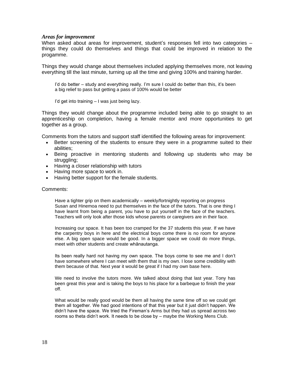#### *Areas for improvement*

When asked about areas for improvement, student's responses fell into two categories – things they could do themselves and things that could be improved in relation to the progamme.

Things they would change about themselves included applying themselves more, not leaving everything till the last minute, turning up all the time and giving 100% and training harder.

I'd do better – study and everything really. I'm sure I could do better than this, it's been a big relief to pass but getting a pass of 100% would be better

I'd get into training – I was just being lazy.

Things they would change about the programme included being able to go straight to an apprenticeship on completion, having a female mentor and more opportunities to get together as a group.

Comments from the tutors and support staff identified the following areas for improvement:

- Better screening of the students to ensure they were in a programme suited to their abilities;
- Being proactive in mentoring students and following up students who may be struggling;
- Having a closer relationship with tutors
- Having more space to work in.
- Having better support for the female students.

#### Comments:

Have a tighter grip on them academically – weekly/fortnightly reporting on progress Susan and Hinemoa need to put themselves in the face of the tutors. That is one thing I have learnt from being a parent, you have to put yourself in the face of the teachers. Teachers will only look after those kids whose parents or caregivers are in their face.

Increasing our space. It has been too cramped for the 37 students this year. If we have the carpentry boys in here and the electrical boys come there is no room for anyone else. A big open space would be good. In a bigger space we could do more things, meet with other students and create whānautanga.

Its been really hard not having my own space. The boys come to see me and I don't have somewhere where I can meet with them that is my own. I lose some credibility with them because of that. Next year it would be great if I had my own base here.

We need to involve the tutors more. We talked about doing that last year. Tony has been great this year and is taking the boys to his place for a barbeque to finish the year off.

What would be really good would be them all having the same time off so we could get them all together. We had good intentions of that this year but it just didn't happen. We didn't have the space. We tried the Fireman's Arms but they had us spread across two rooms so theta didn't work. It needs to be close by – maybe the Working Mens Club.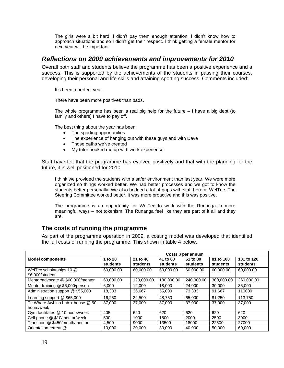The girls were a bit hard. I didn't pay them enough attention. I didn't know how to approach situations and so I didn't get their respect. I think getting a female mentor for next year will be important

# <span id="page-18-0"></span>*Reflections on 2009 achievements and improvements for 2010*

Overall both staff and students believe the programme has been a positive experience and a success. This is supported by the achievements of the students in passing their courses, developing their personal and life skills and attaining sporting success. Comments included:

It's been a perfect year.

There have been more positives than bads.

The whole programme has been a real big help for the future  $-1$  have a big debt (to family and others) I have to pay off.

The best thing about the year has been:

- The sporting opportunities
- The experience of hanging out with these guys and with Dave
- Those paths we've created
- My tutor hooked me up with work experience

Staff have felt that the programme has evolved positively and that with the planning for the future, it is well positioned for 2010.

I think we provided the students with a safer environment than last year. We were more organized so things worked better. We had better processes and we got to know the students better personally. We also bridged a lot of gaps with staff here at WelTec. The Steering Committee worked better, it was more proactive and this was positive.

The programme is an opportunity for WelTec to work with the Runanga in more meaningful ways – not tokenism. The Runanga feel like they are part of it all and they are.

# <span id="page-18-1"></span>**The costs of running the programme**

As part of the programme operation in 2009, a costing model was developed that identified the full costs of running the programme. This shown in table 4 below.

|                                                | Costs \$ per annum  |                             |                      |                      |                       |                        |
|------------------------------------------------|---------------------|-----------------------------|----------------------|----------------------|-----------------------|------------------------|
| <b>Model components</b>                        | 1 to 20<br>students | 21 to 40<br><b>students</b> | 41 to 60<br>students | 61 to 80<br>students | 81 to 100<br>students | 101 to 120<br>students |
| WelTec scholarships 10 @<br>\$6,000/student    | 60,000,00           | 60.000.00                   | 60.000.00            | 60.000.00            | 60,000,00             | 60.000.00              |
| Mentor/advocate @ \$60,000/mentor              | 60.000.00           | 120.000.00                  | 180.000.00           | 240.000.00           | 300.000.00            | 360.000.00             |
| Mentor training @ \$6,000/person               | 6.000               | 12.000                      | 18.000               | 24.000               | 30,000                | 36,000                 |
| Administration support @ \$55,000              | 18.333              | 36.667                      | 55.000               | 73.333               | 91.667                | 110000                 |
| Learning support @ \$65,000                    | 16.250              | 32,500                      | 48.750               | 65.000               | 81.250                | 113.750                |
| Te Whare Awhina hub + house @ 50<br>hours/week | 37,000              | 37,000                      | 37,000               | 37,000               | 37.000                | 37,000                 |
| Gym facilitates @ 10 hours/week                | 405                 | 620                         | 620                  | 620                  | 620                   | 620                    |
| Cell phone @ \$10/mentor/week                  | 500                 | 1000                        | 1500                 | 2000                 | 2500                  | 3000                   |
| Transport @ \$450/month/mentor                 | 4.500               | 9000                        | 13500                | 18000                | 22500                 | 27000                  |
| Orientation retreat @                          | 10.000              | 20,000                      | 30,000               | 40,000               | 50,000                | 60.000                 |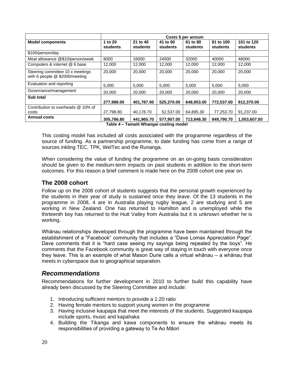|                                                                    | Costs \$ per annum  |                      |                      |                      |                       |                        |
|--------------------------------------------------------------------|---------------------|----------------------|----------------------|----------------------|-----------------------|------------------------|
| <b>Model components</b>                                            | 1 to 20<br>students | 21 to 40<br>students | 41 to 60<br>students | 61 to 80<br>students | 81 to 100<br>students | 101 to 120<br>students |
| \$100/person/day                                                   |                     |                      |                      |                      |                       |                        |
| Meal allowance @\$10/person/week                                   | 8000                | 16000                | 24000                | 32000                | 40000                 | 48000                  |
| Computers & internet @ 6 base                                      | 12,000              | 12.000               | 12,000               | 12,000               | 12,000                | 12,000                 |
| Steering committee 10 x meetings<br>with 6 people @ \$2000/meeting | 20,000              | 20,000               | 20,000               | 20,000               | 20,000                | 20,000                 |
| Evaluation and reporting                                           | 5,000               | 5,000                | 5,000                | 5,000                | 5,000                 | 5,000                  |
| Governance/management                                              | 20,000              | 20,000               | 20,000               | 20,000               | 20,000                | 20,000                 |
| Sub total                                                          | 277,988.00          | 401,787.00           | 525.370.00           | 648.953.00           | 772.537.00            | 912,370.00             |
| Contribution to overheads @ 10% of                                 |                     |                      |                      |                      |                       |                        |
| costs                                                              | 27,798.80           | 40,178.70            | 52,537.00            | 64,895.30            | 77,253.70             | 91,237.00              |
| <b>Annual costs</b>                                                | 305,786.80          | 441,965.70           | 577,907.00           | 713,848.30           | 849,790.70            | 1,003,607.00           |

**Table 4 – Tamaiti Whangai costing model**

This costing model has included all costs associated with the programme regardless of the source of funding. As a partnership programme, to date funding has come from a range of sources inkling TEC, TPK, WelTec and the Runanga.

When considering the value of funding the programme on an on-going basis consideration should be given to the medium-term impacts on past students in addition to the short-term outcomes. For this reason a brief comment is made here on the 2008 cohort one year on.

# <span id="page-19-0"></span>**The 2008 cohort**

Follow up on the 2008 cohort of students suggests that the personal growth experienced by the students in their year of study is sustained once they leave. Of the 13 students in the programme in 2008, 4 are in Australia playing rugby league, 2 are studying and 5 are working in New Zealand. One has returned to Hamilton and is unemployed while the thirteenth boy has returned to the Hutt Valley from Australia but it is unknown whether he is working.

Whānau relationships developed through the programme have been maintained through the establishment of a "Facebook" community that includes a "Dave Lomax Appreciation Page". Dave comments that it is "hard case seeing my sayings being repeated by the boys". He comments that the Facebook community is great way of staying in touch with everyone once they leave. This is an example of what Mason Durie calls a virtual whānau – a whānau that meets in cyberspace due to geographical separation.

# <span id="page-19-1"></span>*Recommendations*

Recommendations for further development in 2010 to further build this capability have already been discussed by the Steering Committee and include:

- 1. Introducing sufficient mentors to provide a 1:20 ratio
- 2. Having female mentors to support young women in the programme
- 3. Having inclusive kaupapa that meet the interests of the students. Suggested kaupapa include sports, music and kapahaka
- 4. Building the Tikanga and kawa components to ensure the whānau meets its responsibilities of providing a gateway to Te Ao Māori